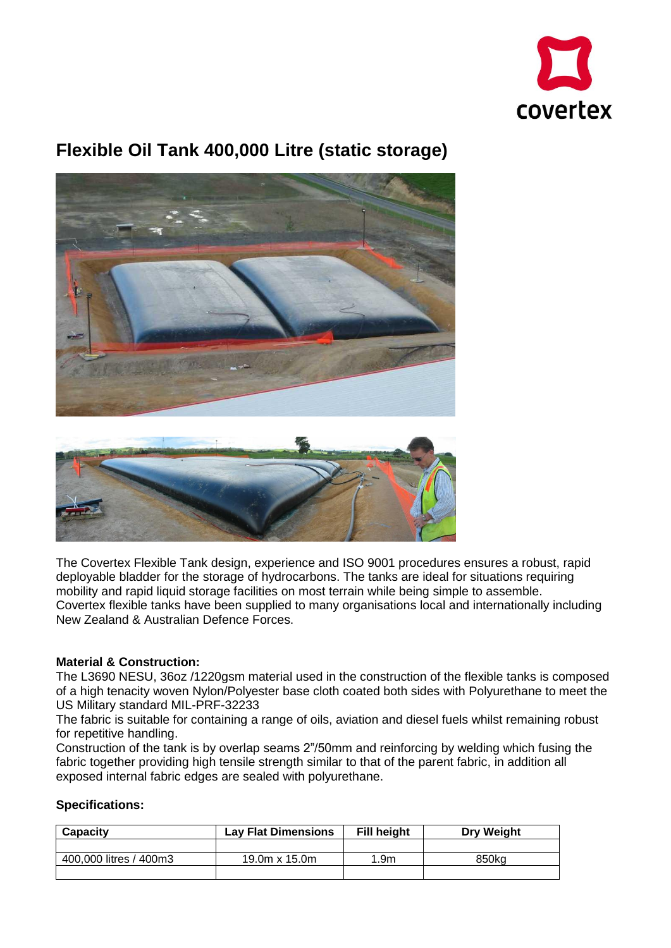

# **Flexible Oil Tank 400,000 Litre (static storage)**



The Covertex Flexible Tank design, experience and ISO 9001 procedures ensures a robust, rapid deployable bladder for the storage of hydrocarbons. The tanks are ideal for situations requiring mobility and rapid liquid storage facilities on most terrain while being simple to assemble. Covertex flexible tanks have been supplied to many organisations local and internationally including New Zealand & Australian Defence Forces.

### **Material & Construction:**

The L3690 NESU, 36oz /1220gsm material used in the construction of the flexible tanks is composed of a high tenacity woven Nylon/Polyester base cloth coated both sides with Polyurethane to meet the US Military standard MIL-PRF-32233

The fabric is suitable for containing a range of oils, aviation and diesel fuels whilst remaining robust for repetitive handling.

Construction of the tank is by overlap seams 2"/50mm and reinforcing by welding which fusing the fabric together providing high tensile strength similar to that of the parent fabric, in addition all exposed internal fabric edges are sealed with polyurethane.

### **Specifications:**

| Capacity               | <b>Lav Flat Dimensions</b> | Fill height | <b>Drv Weight</b> |
|------------------------|----------------------------|-------------|-------------------|
|                        |                            |             |                   |
| 400,000 litres / 400m3 | 19.0m $\times$ 15.0m       | 1.9m        | 850ka             |
|                        |                            |             |                   |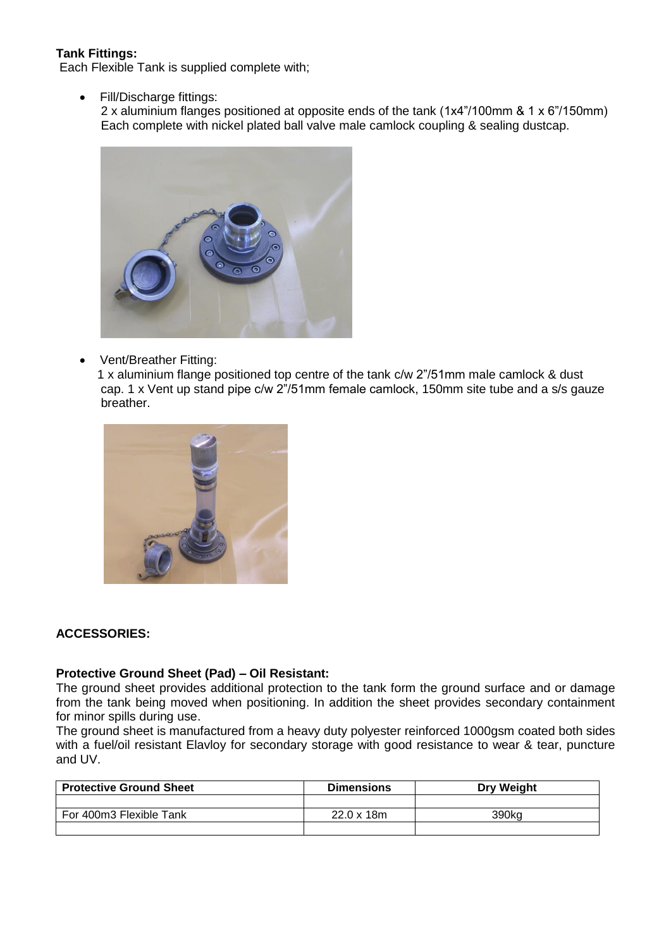# **Tank Fittings:**

Each Flexible Tank is supplied complete with;

Fill/Discharge fittings:

 2 x aluminium flanges positioned at opposite ends of the tank (1x4"/100mm & 1 x 6"/150mm) Each complete with nickel plated ball valve male camlock coupling & sealing dustcap.



• Vent/Breather Fitting:

 1 x aluminium flange positioned top centre of the tank c/w 2"/51mm male camlock & dust cap. 1 x Vent up stand pipe c/w 2"/51mm female camlock, 150mm site tube and a s/s gauze breather.



### **ACCESSORIES:**

#### **Protective Ground Sheet (Pad) – Oil Resistant:**

The ground sheet provides additional protection to the tank form the ground surface and or damage from the tank being moved when positioning. In addition the sheet provides secondary containment for minor spills during use.

The ground sheet is manufactured from a heavy duty polyester reinforced 1000gsm coated both sides with a fuel/oil resistant Elavloy for secondary storage with good resistance to wear & tear, puncture and UV.

| <b>Protective Ground Sheet</b> | <b>Dimensions</b> | <b>Drv Weight</b> |
|--------------------------------|-------------------|-------------------|
|                                |                   |                   |
| For 400m3 Flexible Tank        | 22.0 x 18m        | 390ka             |
|                                |                   |                   |